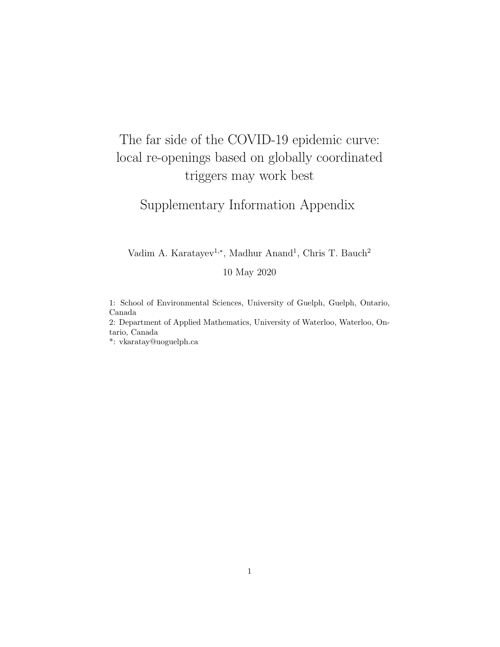## The far side of the COVID-19 epidemic curve: local re-openings based on globally coordinated triggers may work best

## Supplementary Information Appendix

Vadim A. Karatayev<sup>1,\*</sup>, Madhur Anand<sup>1</sup>, Chris T. Bauch<sup>2</sup>

10 May 2020

1: School of Environmental Sciences, University of Guelph, Guelph, Ontario, Canada

2: Department of Applied Mathematics, University of Waterloo, Waterloo, Ontario, Canada

\*: vkaratay@uoguelph.ca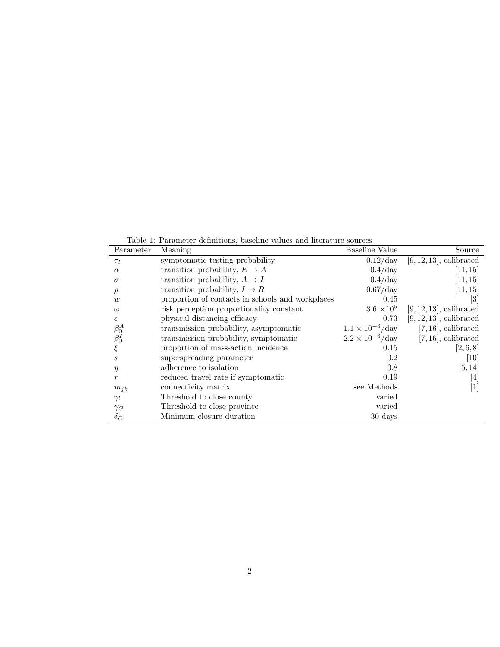Table 1: Parameter definitions, baseline values and literature sources

| Parameter                                             | olo 1, 1 aramovci gommonomo, oaocimo varaco ama nicoraegro oogroes<br>Meaning | Baseline Value                    | Source                                                                                                                                        |
|-------------------------------------------------------|-------------------------------------------------------------------------------|-----------------------------------|-----------------------------------------------------------------------------------------------------------------------------------------------|
| $\tau_I$                                              | symptomatic testing probability                                               | $0.12/\text{day}$                 | $[9, 12, 13]$ , calibrated                                                                                                                    |
| $\alpha$                                              | transition probability, $E \to A$                                             | $0.4$ /day                        | [11, 15]                                                                                                                                      |
| $\sigma$                                              | transition probability, $A \rightarrow I$                                     | $0.4$ /day                        | [11, 15]                                                                                                                                      |
| $\rho$                                                | transition probability, $I \rightarrow R$                                     | $0.67$ /day                       | [11, 15]                                                                                                                                      |
| w                                                     | proportion of contacts in schools and workplaces                              | 0.45                              | $\left\lceil 3 \right\rceil$                                                                                                                  |
| $\omega$                                              | risk perception proportionality constant                                      | $3.6 \times 10^5$                 | $[9, 12, 13]$ , calibrated                                                                                                                    |
| $\epsilon$                                            | physical distancing efficacy                                                  | 0.73                              | $[9, 12, 13]$ , calibrated                                                                                                                    |
|                                                       | transmission probability, asymptomatic                                        | $1.1 \times 10^{-6} / day$        | $[7, 16]$ , calibrated                                                                                                                        |
| $\begin{array}{c} \beta^A_0 \\ \beta^I_0 \end{array}$ | transmission probability, symptomatic                                         | $2.2 \times 10^{-6} / \text{day}$ | $[7, 16]$ , calibrated                                                                                                                        |
|                                                       | proportion of mass-action incidence                                           | 0.15                              | [2,6,8]                                                                                                                                       |
| S                                                     | superspreading parameter                                                      | 0.2                               | $\left[10\right]$                                                                                                                             |
| $\eta$                                                | adherence to isolation                                                        | 0.8                               | [5, 14]                                                                                                                                       |
| r                                                     | reduced travel rate if symptomatic                                            | 0.19                              | $[4] % \includegraphics[width=0.9\columnwidth]{figures/fig_4} \caption{A graph shows a function of the parameter $\Omega$.} \label{fig:time}$ |
| $m_{jk}$                                              | connectivity matrix                                                           | see Methods                       | [1]                                                                                                                                           |
| $\gamma_l$                                            | Threshold to close county                                                     | varied                            |                                                                                                                                               |
| $\gamma_G$                                            | Threshold to close province                                                   | varied                            |                                                                                                                                               |
| $\delta_C$                                            | Minimum closure duration                                                      | 30 days                           |                                                                                                                                               |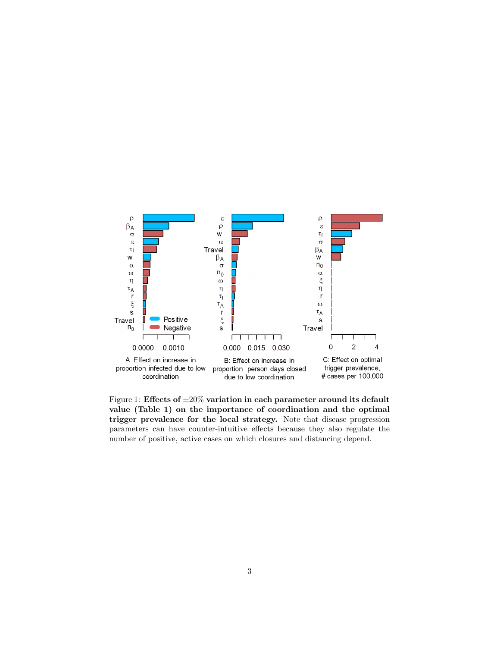

Figure 1: Effects of  $\pm 20\%$  variation in each parameter around its default value (Table 1) on the importance of coordination and the optimal trigger prevalence for the local strategy. Note that disease progression parameters can have counter-intuitive effects because they also regulate the number of positive, active cases on which closures and distancing depend.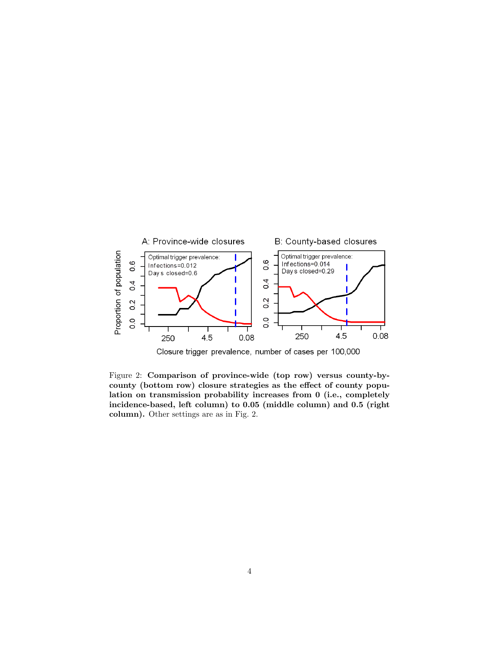

Figure 2: Comparison of province-wide (top row) versus county-bycounty (bottom row) closure strategies as the effect of county population on transmission probability increases from 0 (i.e., completely incidence-based, left column) to 0.05 (middle column) and 0.5 (right column). Other settings are as in Fig. 2.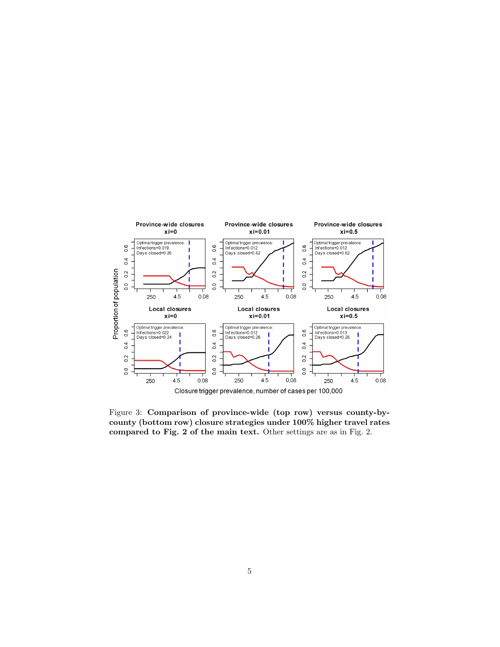

Figure 3: Comparison of province-wide (top row) versus county-bycounty (bottom row) closure strategies under 100% higher travel rates compared to Fig. 2 of the main text. Other settings are as in Fig. 2.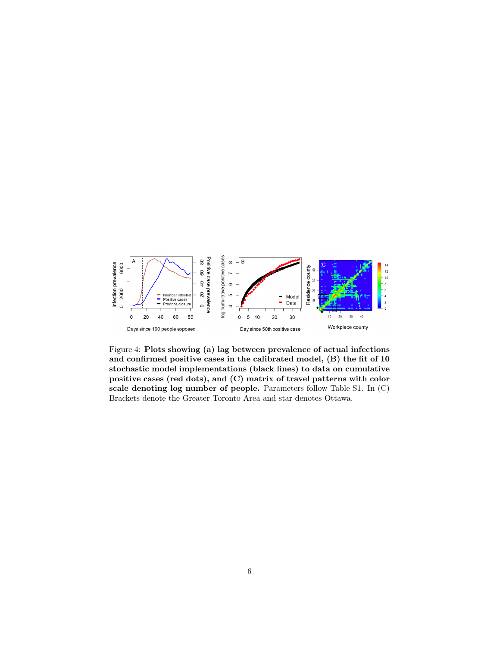

Figure 4: Plots showing (a) lag between prevalence of actual infections and confirmed positive cases in the calibrated model, (B) the fit of 10 stochastic model implementations (black lines) to data on cumulative positive cases (red dots), and (C) matrix of travel patterns with color scale denoting log number of people. Parameters follow Table S1. In (C) Brackets denote the Greater Toronto Area and star denotes Ottawa.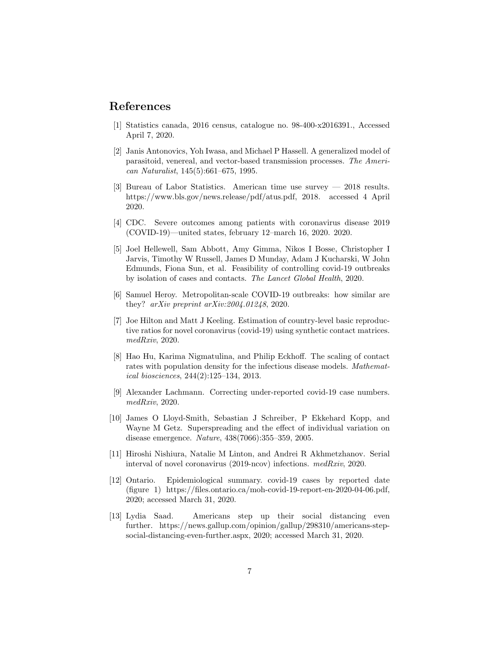## References

- [1] Statistics canada, 2016 census, catalogue no. 98-400-x2016391., Accessed April 7, 2020.
- [2] Janis Antonovics, Yoh Iwasa, and Michael P Hassell. A generalized model of parasitoid, venereal, and vector-based transmission processes. The American Naturalist, 145(5):661–675, 1995.
- [3] Bureau of Labor Statistics. American time use survey 2018 results. https://www.bls.gov/news.release/pdf/atus.pdf, 2018. accessed 4 April 2020.
- [4] CDC. Severe outcomes among patients with coronavirus disease 2019 (COVID-19)—united states, february 12–march 16, 2020. 2020.
- [5] Joel Hellewell, Sam Abbott, Amy Gimma, Nikos I Bosse, Christopher I Jarvis, Timothy W Russell, James D Munday, Adam J Kucharski, W John Edmunds, Fiona Sun, et al. Feasibility of controlling covid-19 outbreaks by isolation of cases and contacts. The Lancet Global Health, 2020.
- [6] Samuel Heroy. Metropolitan-scale COVID-19 outbreaks: how similar are they? arXiv preprint arXiv:2004.01248, 2020.
- [7] Joe Hilton and Matt J Keeling. Estimation of country-level basic reproductive ratios for novel coronavirus (covid-19) using synthetic contact matrices. medRxiv, 2020.
- [8] Hao Hu, Karima Nigmatulina, and Philip Eckhoff. The scaling of contact rates with population density for the infectious disease models. Mathematical biosciences, 244(2):125–134, 2013.
- [9] Alexander Lachmann. Correcting under-reported covid-19 case numbers. medRxiv, 2020.
- [10] James O Lloyd-Smith, Sebastian J Schreiber, P Ekkehard Kopp, and Wayne M Getz. Superspreading and the effect of individual variation on disease emergence. Nature, 438(7066):355–359, 2005.
- [11] Hiroshi Nishiura, Natalie M Linton, and Andrei R Akhmetzhanov. Serial interval of novel coronavirus (2019-ncov) infections. medRxiv, 2020.
- [12] Ontario. Epidemiological summary. covid-19 cases by reported date (figure 1) https://files.ontario.ca/moh-covid-19-report-en-2020-04-06.pdf, 2020; accessed March 31, 2020.
- [13] Lydia Saad. Americans step up their social distancing even further. https://news.gallup.com/opinion/gallup/298310/americans-stepsocial-distancing-even-further.aspx, 2020; accessed March 31, 2020.